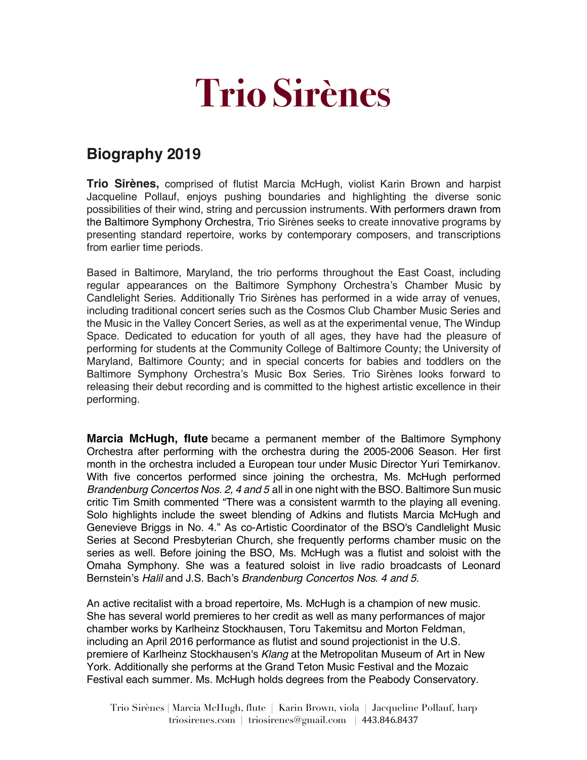## **Trio Sirènes**

## **Biography 2019**

**Trio Sirènes,** comprised of flutist Marcia McHugh, violist Karin Brown and harpist Jacqueline Pollauf, enjoys pushing boundaries and highlighting the diverse sonic possibilities of their wind, string and percussion instruments. With performers drawn from the Baltimore Symphony Orchestra, Trio Sirènes seeks to create innovative programs by presenting standard repertoire, works by contemporary composers, and transcriptions from earlier time periods.

Based in Baltimore, Maryland, the trio performs throughout the East Coast, including regular appearances on the Baltimore Symphony Orchestra's Chamber Music by Candlelight Series. Additionally Trio Sirènes has performed in a wide array of venues, including traditional concert series such as the Cosmos Club Chamber Music Series and the Music in the Valley Concert Series, as well as at the experimental venue, The Windup Space. Dedicated to education for youth of all ages, they have had the pleasure of performing for students at the Community College of Baltimore County; the University of Maryland, Baltimore County; and in special concerts for babies and toddlers on the Baltimore Symphony Orchestra's Music Box Series. Trio Sirènes looks forward to releasing their debut recording and is committed to the highest artistic excellence in their performing.

**Marcia McHugh, flute** became a permanent member of the Baltimore Symphony Orchestra after performing with the orchestra during the 2005-2006 Season. Her first month in the orchestra included a European tour under Music Director Yuri Temirkanov. With five concertos performed since joining the orchestra, Ms. McHugh performed *Brandenburg Concertos Nos. 2, 4 and 5* all in one night with the BSO. Baltimore Sun music critic Tim Smith commented "There was a consistent warmth to the playing all evening. Solo highlights include the sweet blending of Adkins and flutists Marcia McHugh and Genevieve Briggs in No. 4." As co-Artistic Coordinator of the BSO's Candlelight Music Series at Second Presbyterian Church, she frequently performs chamber music on the series as well. Before joining the BSO, Ms. McHugh was a flutist and soloist with the Omaha Symphony. She was a featured soloist in live radio broadcasts of Leonard Bernstein's *Halil* and J.S. Bach's *Brandenburg Concertos Nos. 4 and 5*.

An active recitalist with a broad repertoire, Ms. McHugh is a champion of new music. She has several world premieres to her credit as well as many performances of major chamber works by Karlheinz Stockhausen, Toru Takemitsu and Morton Feldman, including an April 2016 performance as flutist and sound projectionist in the U.S. premiere of Karlheinz Stockhausen's *Klang* at the Metropolitan Museum of Art in New York. Additionally she performs at the Grand Teton Music Festival and the Mozaic Festival each summer. Ms. McHugh holds degrees from the Peabody Conservatory.